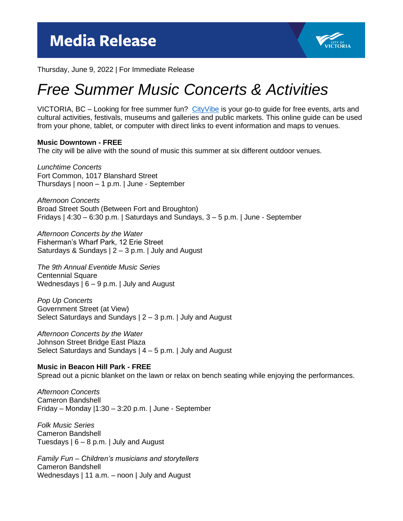

Thursday, June 9, 2022 | For Immediate Release

## *Free Summer Music Concerts & Activities*

VICTORIA, BC – Looking for free summer fun? [CityVibe](https://www.victoria.ca/assets/Departments/Parks~Rec~Culture/Culture/Events~and~Festivals/CityVibe%202022.pdf) is your go-to quide for free events, arts and cultural activities, festivals, museums and galleries and public markets. This online guide can be used from your phone, tablet, or computer with direct links to event information and maps to venues.

## **Music Downtown - FREE**

The city will be alive with the sound of music this summer at six different outdoor venues.

*Lunchtime Concerts* Fort Common, 1017 Blanshard Street Thursdays | noon – 1 p.m. | June - September

*Afternoon Concerts* Broad Street South (Between Fort and Broughton) Fridays | 4:30 – 6:30 p.m. | Saturdays and Sundays, 3 – 5 p.m. | June - September

*Afternoon Concerts by the Water* Fisherman's Wharf Park, 12 Erie Street Saturdays & Sundays  $| 2 - 3$  p.m.  $|$  July and August

*The 9th Annual Eventide Music Series* Centennial Square Wednesdays | 6 – 9 p.m. | July and August

*Pop Up Concerts* Government Street (at View) Select Saturdays and Sundays | 2 – 3 p.m. | July and August

*Afternoon Concerts by the Water* Johnson Street Bridge East Plaza Select Saturdays and Sundays | 4 – 5 p.m. | July and August

## **Music in Beacon Hill Park - FREE**

Spread out a picnic blanket on the lawn or relax on bench seating while enjoying the performances.

*Afternoon Concerts* Cameron Bandshell Friday – Monday |1:30 – 3:20 p.m. | June - September

*Folk Music Series* Cameron Bandshell Tuesdays  $| 6 - 8$  p.m.  $|$  July and August

*Family Fun – Children's musicians and storytellers* Cameron Bandshell Wednesdays | 11 a.m. - noon | July and August